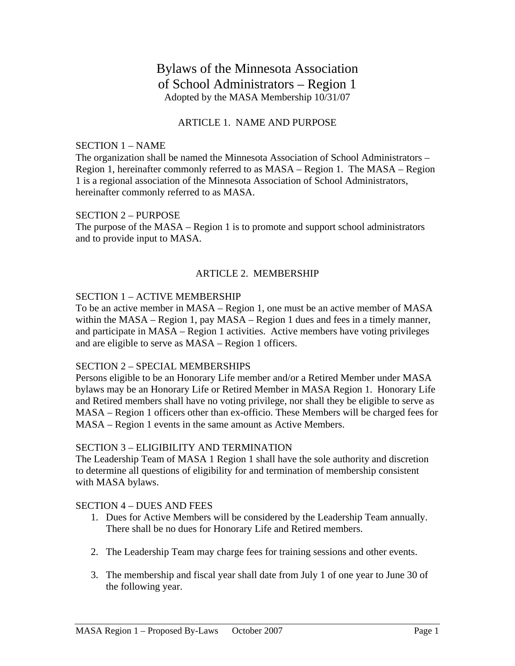# Bylaws of the Minnesota Association of School Administrators – Region 1 Adopted by the MASA Membership 10/31/07

# ARTICLE 1. NAME AND PURPOSE

## SECTION 1 – NAME

The organization shall be named the Minnesota Association of School Administrators – Region 1, hereinafter commonly referred to as MASA – Region 1. The MASA – Region 1 is a regional association of the Minnesota Association of School Administrators, hereinafter commonly referred to as MASA.

## SECTION 2 – PURPOSE

The purpose of the MASA – Region 1 is to promote and support school administrators and to provide input to MASA.

# ARTICLE 2. MEMBERSHIP

## SECTION 1 – ACTIVE MEMBERSHIP

To be an active member in MASA – Region 1, one must be an active member of MASA within the MASA – Region 1, pay MASA – Region 1 dues and fees in a timely manner, and participate in MASA – Region 1 activities. Active members have voting privileges and are eligible to serve as MASA – Region 1 officers.

## SECTION 2 – SPECIAL MEMBERSHIPS

Persons eligible to be an Honorary Life member and/or a Retired Member under MASA bylaws may be an Honorary Life or Retired Member in MASA Region 1. Honorary Life and Retired members shall have no voting privilege, nor shall they be eligible to serve as MASA – Region 1 officers other than ex-officio. These Members will be charged fees for MASA – Region 1 events in the same amount as Active Members.

## SECTION 3 – ELIGIBILITY AND TERMINATION

The Leadership Team of MASA 1 Region 1 shall have the sole authority and discretion to determine all questions of eligibility for and termination of membership consistent with MASA bylaws.

## SECTION 4 – DUES AND FEES

- 1. Dues for Active Members will be considered by the Leadership Team annually. There shall be no dues for Honorary Life and Retired members.
- 2. The Leadership Team may charge fees for training sessions and other events.
- 3. The membership and fiscal year shall date from July 1 of one year to June 30 of the following year.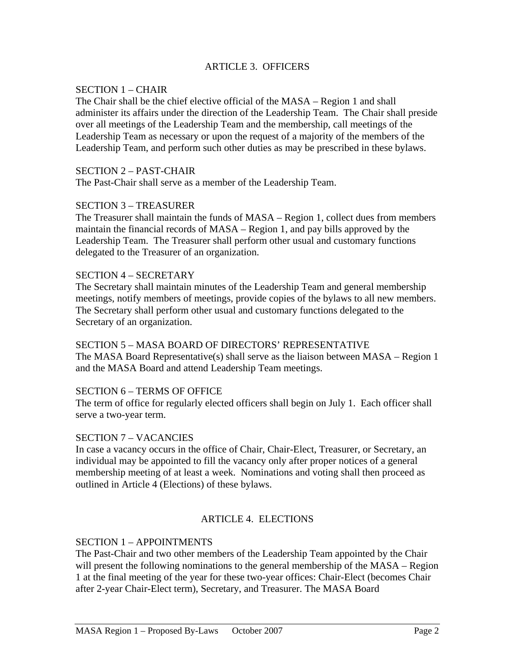# ARTICLE 3. OFFICERS

## SECTION 1 – CHAIR

The Chair shall be the chief elective official of the MASA – Region 1 and shall administer its affairs under the direction of the Leadership Team. The Chair shall preside over all meetings of the Leadership Team and the membership, call meetings of the Leadership Team as necessary or upon the request of a majority of the members of the Leadership Team, and perform such other duties as may be prescribed in these bylaws.

## SECTION 2 – PAST-CHAIR

The Past-Chair shall serve as a member of the Leadership Team.

# SECTION 3 – TREASURER

The Treasurer shall maintain the funds of MASA – Region 1, collect dues from members maintain the financial records of MASA – Region 1, and pay bills approved by the Leadership Team. The Treasurer shall perform other usual and customary functions delegated to the Treasurer of an organization.

## SECTION 4 – SECRETARY

The Secretary shall maintain minutes of the Leadership Team and general membership meetings, notify members of meetings, provide copies of the bylaws to all new members. The Secretary shall perform other usual and customary functions delegated to the Secretary of an organization.

## SECTION 5 – MASA BOARD OF DIRECTORS' REPRESENTATIVE

The MASA Board Representative(s) shall serve as the liaison between MASA – Region 1 and the MASA Board and attend Leadership Team meetings.

## SECTION 6 – TERMS OF OFFICE

The term of office for regularly elected officers shall begin on July 1. Each officer shall serve a two-year term.

## SECTION 7 – VACANCIES

In case a vacancy occurs in the office of Chair, Chair-Elect, Treasurer, or Secretary, an individual may be appointed to fill the vacancy only after proper notices of a general membership meeting of at least a week. Nominations and voting shall then proceed as outlined in Article 4 (Elections) of these bylaws.

# ARTICLE 4. ELECTIONS

## SECTION 1 – APPOINTMENTS

The Past-Chair and two other members of the Leadership Team appointed by the Chair will present the following nominations to the general membership of the MASA – Region 1 at the final meeting of the year for these two-year offices: Chair-Elect (becomes Chair after 2-year Chair-Elect term), Secretary, and Treasurer. The MASA Board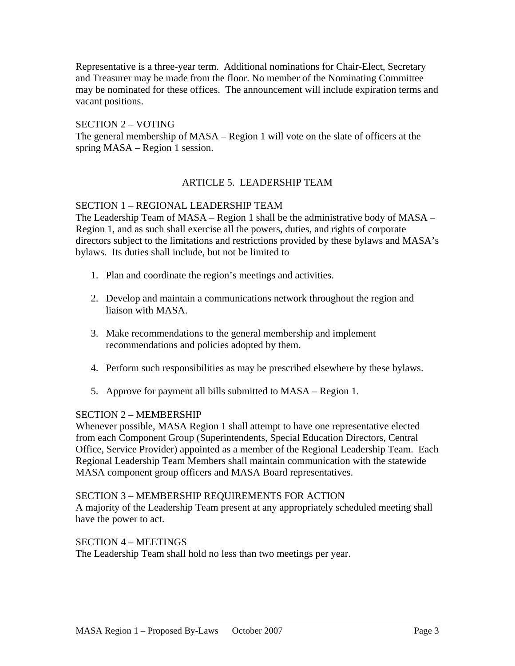Representative is a three-year term. Additional nominations for Chair-Elect, Secretary and Treasurer may be made from the floor. No member of the Nominating Committee may be nominated for these offices. The announcement will include expiration terms and vacant positions.

# SECTION 2 – VOTING

The general membership of MASA – Region 1 will vote on the slate of officers at the spring MASA – Region 1 session.

# ARTICLE 5. LEADERSHIP TEAM

## SECTION 1 – REGIONAL LEADERSHIP TEAM

The Leadership Team of MASA – Region 1 shall be the administrative body of MASA – Region 1, and as such shall exercise all the powers, duties, and rights of corporate directors subject to the limitations and restrictions provided by these bylaws and MASA's bylaws. Its duties shall include, but not be limited to

- 1. Plan and coordinate the region's meetings and activities.
- 2. Develop and maintain a communications network throughout the region and liaison with MASA.
- 3. Make recommendations to the general membership and implement recommendations and policies adopted by them.
- 4. Perform such responsibilities as may be prescribed elsewhere by these bylaws.
- 5. Approve for payment all bills submitted to MASA Region 1.

## SECTION 2 – MEMBERSHIP

Whenever possible, MASA Region 1 shall attempt to have one representative elected from each Component Group (Superintendents, Special Education Directors, Central Office, Service Provider) appointed as a member of the Regional Leadership Team. Each Regional Leadership Team Members shall maintain communication with the statewide MASA component group officers and MASA Board representatives.

## SECTION 3 – MEMBERSHIP REQUIREMENTS FOR ACTION

A majority of the Leadership Team present at any appropriately scheduled meeting shall have the power to act.

## SECTION 4 – MEETINGS

The Leadership Team shall hold no less than two meetings per year.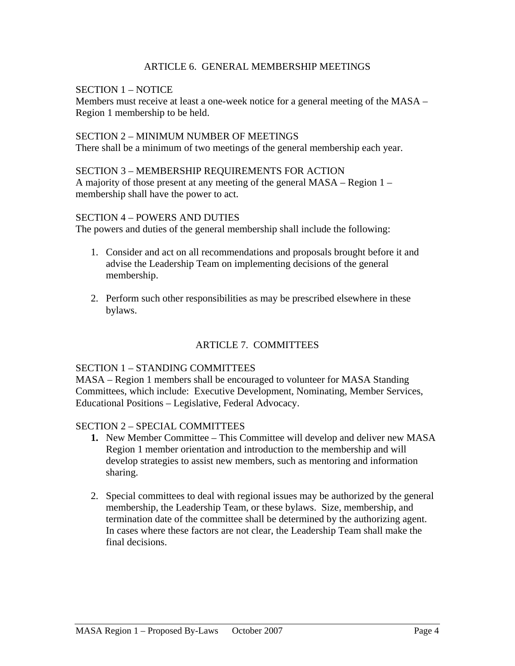## ARTICLE 6. GENERAL MEMBERSHIP MEETINGS

# SECTION 1 – NOTICE

Members must receive at least a one-week notice for a general meeting of the MASA – Region 1 membership to be held.

#### SECTION 2 – MINIMUM NUMBER OF MEETINGS

There shall be a minimum of two meetings of the general membership each year.

#### SECTION 3 – MEMBERSHIP REQUIREMENTS FOR ACTION

A majority of those present at any meeting of the general MASA – Region 1 – membership shall have the power to act.

#### SECTION 4 – POWERS AND DUTIES

The powers and duties of the general membership shall include the following:

- 1. Consider and act on all recommendations and proposals brought before it and advise the Leadership Team on implementing decisions of the general membership.
- 2. Perform such other responsibilities as may be prescribed elsewhere in these bylaws.

# ARTICLE 7. COMMITTEES

## SECTION 1 – STANDING COMMITTEES

MASA – Region 1 members shall be encouraged to volunteer for MASA Standing Committees, which include: Executive Development, Nominating, Member Services, Educational Positions – Legislative, Federal Advocacy.

## SECTION 2 – SPECIAL COMMITTEES

- **1.** New Member Committee This Committee will develop and deliver new MASA Region 1 member orientation and introduction to the membership and will develop strategies to assist new members, such as mentoring and information sharing.
- 2. Special committees to deal with regional issues may be authorized by the general membership, the Leadership Team, or these bylaws. Size, membership, and termination date of the committee shall be determined by the authorizing agent. In cases where these factors are not clear, the Leadership Team shall make the final decisions.